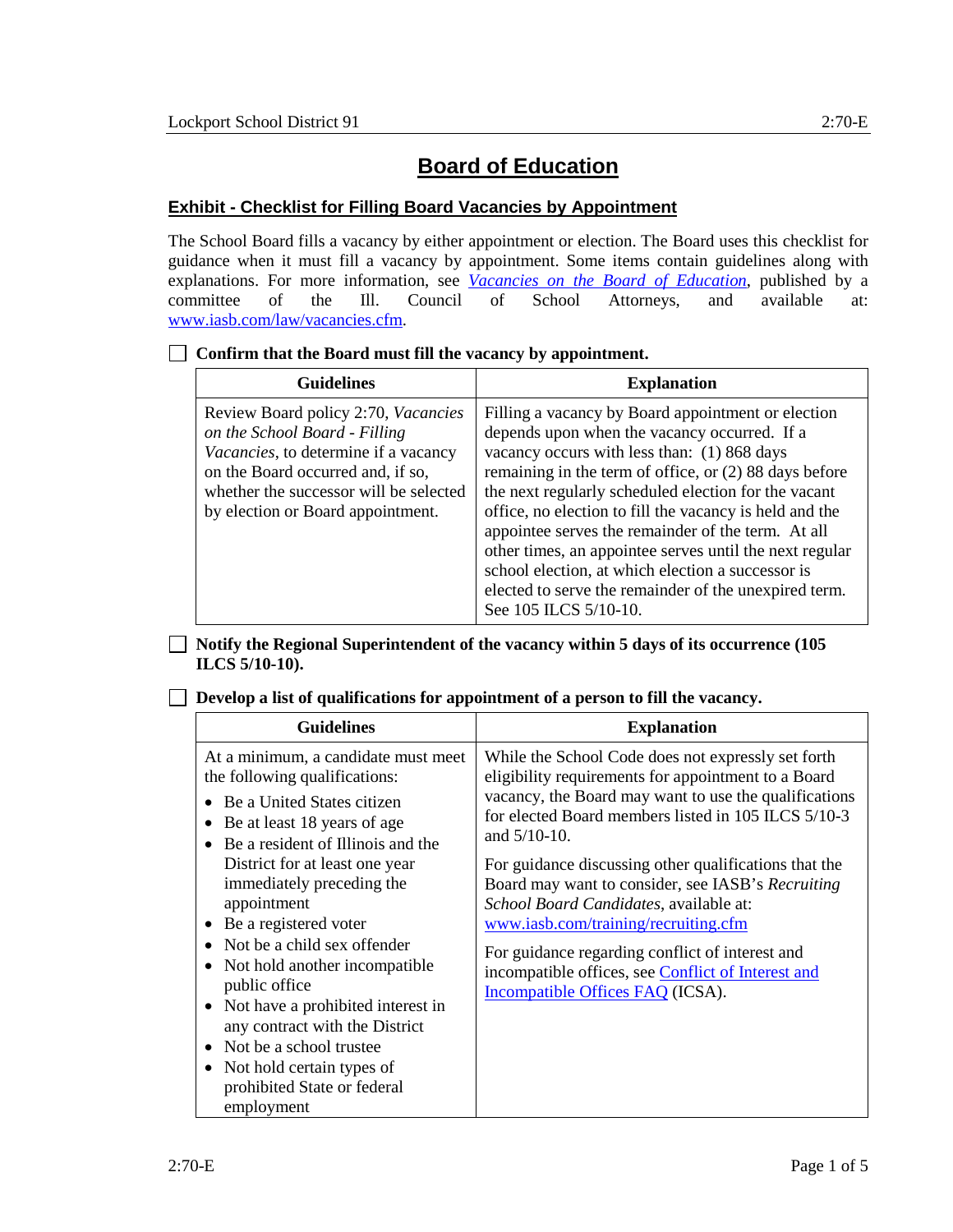# **Board of Education**

### **Exhibit - Checklist for Filling Board Vacancies by Appointment**

The School Board fills a vacancy by either appointment or election. The Board uses this checklist for guidance when it must fill a vacancy by appointment. Some items contain guidelines along with explanations. For more information, see *[Vacancies on the Board of Education](http://iasb.com/law/vacancies.cfm)*, published by a committee of the Ill. Council of School Attorneys, and available at: [www.iasb.com/law/vacancies.cfm.](http://www.iasb.com/law/vacancies.cfm)

| $\sim$ Community collective board must fin the vacancy by appointment.                                                                                                                                                                   |                                                                                                                                                                                                                                                                                                                                                                                                                                                                                                                                                                                        |
|------------------------------------------------------------------------------------------------------------------------------------------------------------------------------------------------------------------------------------------|----------------------------------------------------------------------------------------------------------------------------------------------------------------------------------------------------------------------------------------------------------------------------------------------------------------------------------------------------------------------------------------------------------------------------------------------------------------------------------------------------------------------------------------------------------------------------------------|
| <b>Guidelines</b>                                                                                                                                                                                                                        | <b>Explanation</b>                                                                                                                                                                                                                                                                                                                                                                                                                                                                                                                                                                     |
| Review Board policy 2:70, Vacancies<br>on the School Board - Filling<br><i>Vacancies</i> , to determine if a vacancy<br>on the Board occurred and, if so,<br>whether the successor will be selected<br>by election or Board appointment. | Filling a vacancy by Board appointment or election<br>depends upon when the vacancy occurred. If a<br>vacancy occurs with less than: (1) 868 days<br>remaining in the term of office, or (2) 88 days before<br>the next regularly scheduled election for the vacant<br>office, no election to fill the vacancy is held and the<br>appointee serves the remainder of the term. At all<br>other times, an appointee serves until the next regular<br>school election, at which election a successor is<br>elected to serve the remainder of the unexpired term.<br>See 105 ILCS 5/10-10. |

### **Confirm that the Board must fill the vacancy by appointment.**

**Notify the Regional Superintendent of the vacancy within 5 days of its occurrence (105 ILCS 5/10-10).**

| <b>Guidelines</b>                                                                                                                                                                                                                                                                                                                                                                                                                                                                                                                                                                                           | <b>Explanation</b>                                                                                                                                                                                                                                                                                                                                                                                                                                                                                                                                                                        |
|-------------------------------------------------------------------------------------------------------------------------------------------------------------------------------------------------------------------------------------------------------------------------------------------------------------------------------------------------------------------------------------------------------------------------------------------------------------------------------------------------------------------------------------------------------------------------------------------------------------|-------------------------------------------------------------------------------------------------------------------------------------------------------------------------------------------------------------------------------------------------------------------------------------------------------------------------------------------------------------------------------------------------------------------------------------------------------------------------------------------------------------------------------------------------------------------------------------------|
| At a minimum, a candidate must meet<br>the following qualifications:<br>Be a United States citizen<br>Be at least 18 years of age<br>Be a resident of Illinois and the<br>District for at least one year<br>immediately preceding the<br>appointment<br>Be a registered voter<br>Not be a child sex offender<br>$\bullet$<br>Not hold another incompatible<br>$\bullet$<br>public office<br>Not have a prohibited interest in<br>$\bullet$<br>any contract with the District<br>Not be a school trustee<br>$\bullet$<br>Not hold certain types of<br>$\bullet$<br>prohibited State or federal<br>employment | While the School Code does not expressly set forth<br>eligibility requirements for appointment to a Board<br>vacancy, the Board may want to use the qualifications<br>for elected Board members listed in 105 ILCS 5/10-3<br>and $5/10-10$ .<br>For guidance discussing other qualifications that the<br>Board may want to consider, see IASB's Recruiting<br>School Board Candidates, available at:<br>www.iasb.com/training/recruiting.cfm<br>For guidance regarding conflict of interest and<br>incompatible offices, see Conflict of Interest and<br>Incompatible Offices FAQ (ICSA). |

#### **Develop a list of qualifications for appointment of a person to fill the vacancy.**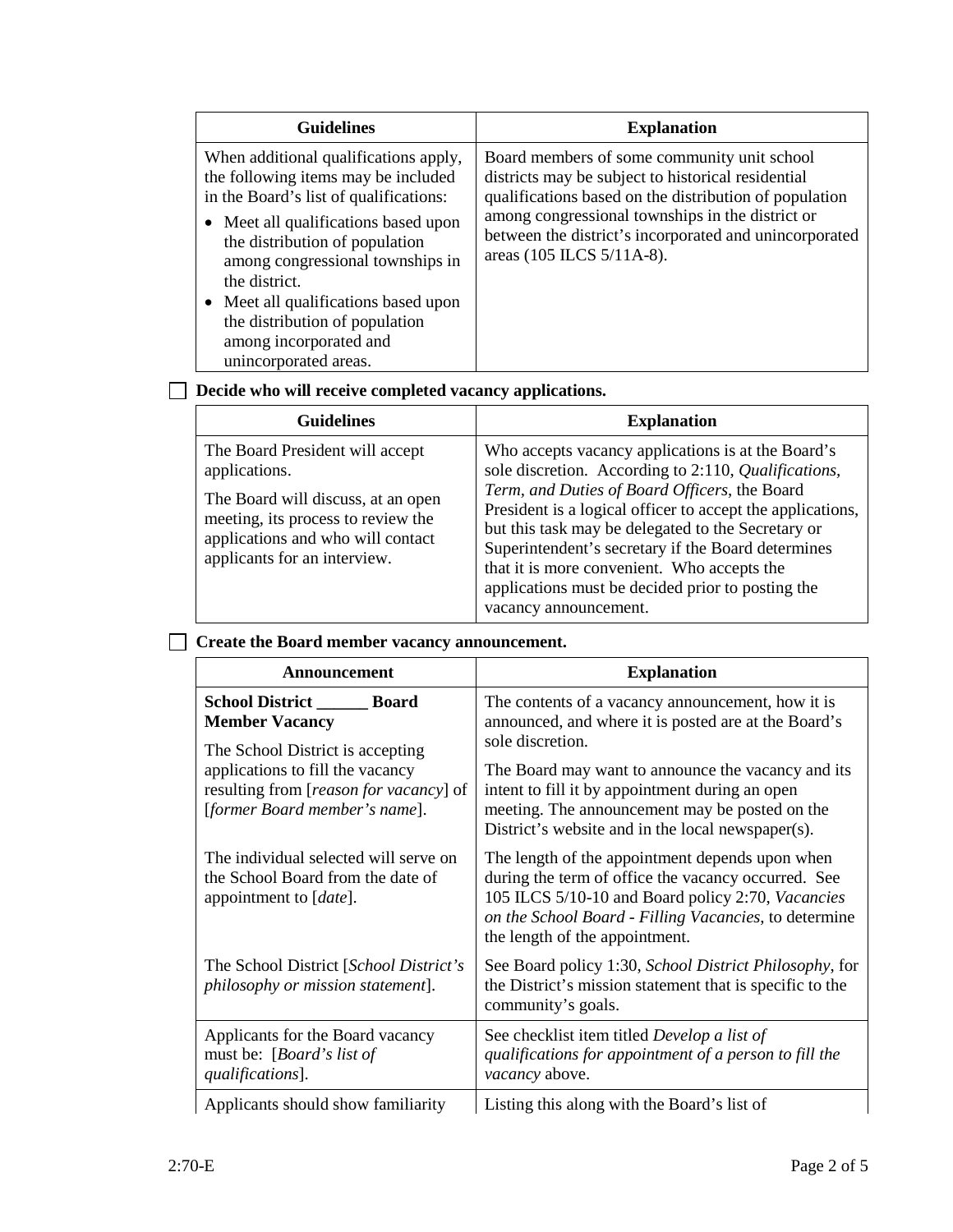| <b>Guidelines</b>                                                                                                                                                                                                                                                                                                                                                                  | <b>Explanation</b>                                                                                                                                                                                                                                                                                     |
|------------------------------------------------------------------------------------------------------------------------------------------------------------------------------------------------------------------------------------------------------------------------------------------------------------------------------------------------------------------------------------|--------------------------------------------------------------------------------------------------------------------------------------------------------------------------------------------------------------------------------------------------------------------------------------------------------|
| When additional qualifications apply,<br>the following items may be included<br>in the Board's list of qualifications:<br>• Meet all qualifications based upon<br>the distribution of population<br>among congressional townships in<br>the district.<br>• Meet all qualifications based upon<br>the distribution of population<br>among incorporated and<br>unincorporated areas. | Board members of some community unit school<br>districts may be subject to historical residential<br>qualifications based on the distribution of population<br>among congressional townships in the district or<br>between the district's incorporated and unincorporated<br>areas (105 ILCS 5/11A-8). |

# **Decide who will receive completed vacancy applications.**

| <b>Guidelines</b>                                                                                                                                                                                 | <b>Explanation</b>                                                                                                                                                                                                                                                                                                                                                                                                                                                 |
|---------------------------------------------------------------------------------------------------------------------------------------------------------------------------------------------------|--------------------------------------------------------------------------------------------------------------------------------------------------------------------------------------------------------------------------------------------------------------------------------------------------------------------------------------------------------------------------------------------------------------------------------------------------------------------|
| The Board President will accept<br>applications.<br>The Board will discuss, at an open<br>meeting, its process to review the<br>applications and who will contact<br>applicants for an interview. | Who accepts vacancy applications is at the Board's<br>sole discretion. According to 2:110, Qualifications,<br>Term, and Duties of Board Officers, the Board<br>President is a logical officer to accept the applications,<br>but this task may be delegated to the Secretary or<br>Superintendent's secretary if the Board determines<br>that it is more convenient. Who accepts the<br>applications must be decided prior to posting the<br>vacancy announcement. |

### **Create the Board member vacancy announcement.**

| Announcement                                                                                                                                                                                               | <b>Explanation</b>                                                                                                                                                                                                                                                                                          |
|------------------------------------------------------------------------------------------------------------------------------------------------------------------------------------------------------------|-------------------------------------------------------------------------------------------------------------------------------------------------------------------------------------------------------------------------------------------------------------------------------------------------------------|
| School District ________ Board<br><b>Member Vacancy</b><br>The School District is accepting<br>applications to fill the vacancy<br>resulting from [reason for vacancy] of<br>[former Board member's name]. | The contents of a vacancy announcement, how it is<br>announced, and where it is posted are at the Board's<br>sole discretion.<br>The Board may want to announce the vacancy and its<br>intent to fill it by appointment during an open<br>meeting. The announcement may be posted on the                    |
| The individual selected will serve on<br>the School Board from the date of<br>appointment to [ <i>date</i> ].                                                                                              | District's website and in the local newspaper(s).<br>The length of the appointment depends upon when<br>during the term of office the vacancy occurred. See<br>105 ILCS 5/10-10 and Board policy 2:70, Vacancies<br>on the School Board - Filling Vacancies, to determine<br>the length of the appointment. |
| The School District [School District's<br><i>philosophy or mission statement</i> ].                                                                                                                        | See Board policy 1:30, School District Philosophy, for<br>the District's mission statement that is specific to the<br>community's goals.                                                                                                                                                                    |
| Applicants for the Board vacancy<br>must be: [ <i>Board's list of</i><br>qualifications].                                                                                                                  | See checklist item titled Develop a list of<br>qualifications for appointment of a person to fill the<br>vacancy above.                                                                                                                                                                                     |
| Applicants should show familiarity                                                                                                                                                                         | Listing this along with the Board's list of                                                                                                                                                                                                                                                                 |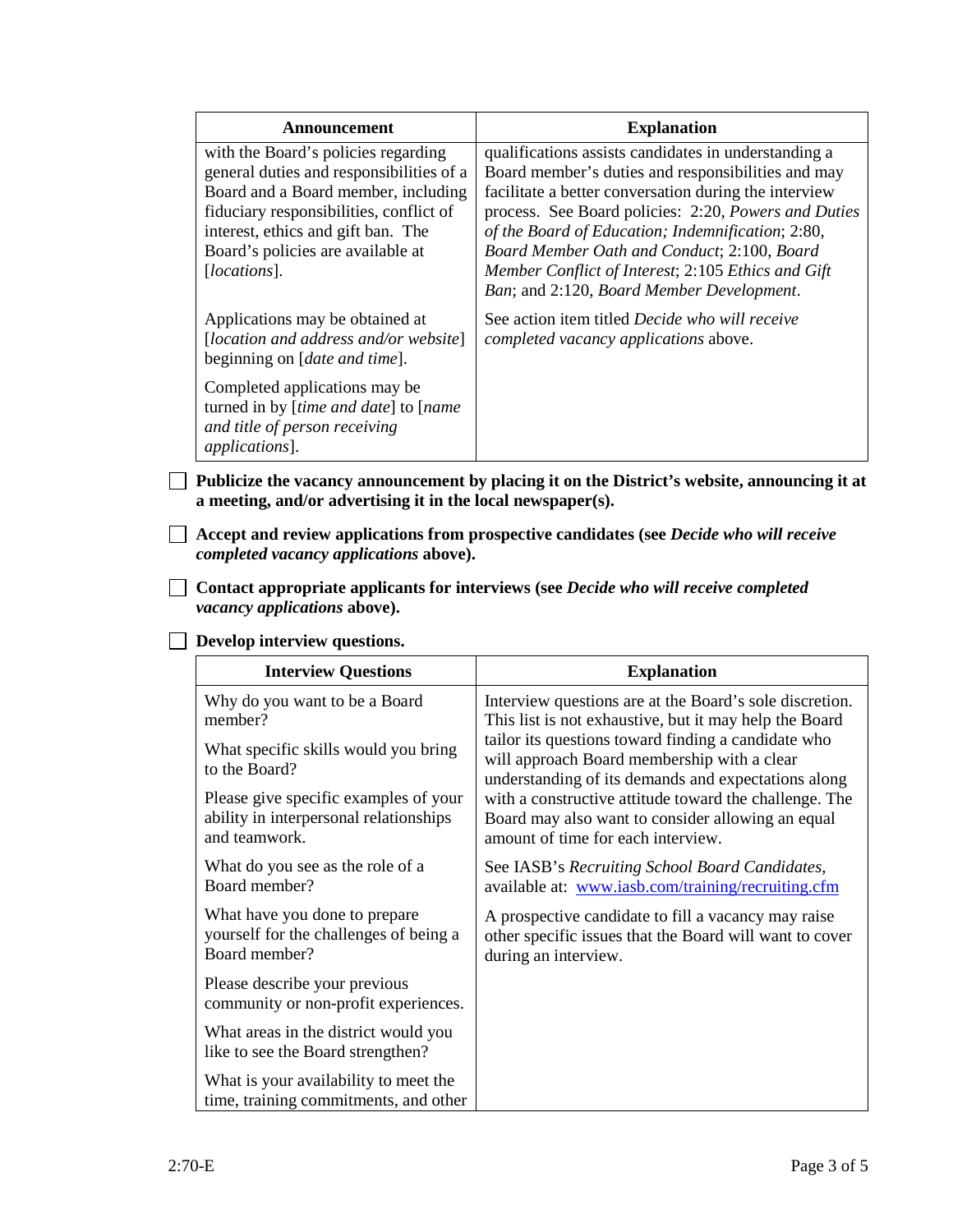| <b>Announcement</b>                                                                                                                                                                                                                                                   | <b>Explanation</b>                                                                                                                                                                                                                                                                                                                                                                                                                 |
|-----------------------------------------------------------------------------------------------------------------------------------------------------------------------------------------------------------------------------------------------------------------------|------------------------------------------------------------------------------------------------------------------------------------------------------------------------------------------------------------------------------------------------------------------------------------------------------------------------------------------------------------------------------------------------------------------------------------|
| with the Board's policies regarding<br>general duties and responsibilities of a<br>Board and a Board member, including<br>fiduciary responsibilities, conflict of<br>interest, ethics and gift ban. The<br>Board's policies are available at<br>[ <i>locations</i> ]. | qualifications assists candidates in understanding a<br>Board member's duties and responsibilities and may<br>facilitate a better conversation during the interview<br>process. See Board policies: 2:20, Powers and Duties<br>of the Board of Education; Indemnification; 2:80,<br>Board Member Oath and Conduct; 2:100, Board<br>Member Conflict of Interest; 2:105 Ethics and Gift<br>Ban; and 2:120, Board Member Development. |
| Applications may be obtained at<br>[location and address and/or website]<br>beginning on [ <i>date and time</i> ].                                                                                                                                                    | See action item titled <i>Decide who will receive</i><br>completed vacancy applications above.                                                                                                                                                                                                                                                                                                                                     |
| Completed applications may be<br>turned in by [time and date] to [name<br>and title of person receiving<br><i>applications</i> ].                                                                                                                                     |                                                                                                                                                                                                                                                                                                                                                                                                                                    |

**Publicize the vacancy announcement by placing it on the District's website, announcing it at a meeting, and/or advertising it in the local newspaper(s).**

**Accept and review applications from prospective candidates (see** *Decide who will receive completed vacancy applications* **above).**

**Contact appropriate applicants for interviews (see** *Decide who will receive completed vacancy applications* **above).**

| <b>Interview Questions</b>                                                                       | <b>Explanation</b>                                                                                                                                        |
|--------------------------------------------------------------------------------------------------|-----------------------------------------------------------------------------------------------------------------------------------------------------------|
| Why do you want to be a Board<br>member?                                                         | Interview questions are at the Board's sole discretion.<br>This list is not exhaustive, but it may help the Board                                         |
| What specific skills would you bring<br>to the Board?                                            | tailor its questions toward finding a candidate who<br>will approach Board membership with a clear<br>understanding of its demands and expectations along |
| Please give specific examples of your<br>ability in interpersonal relationships<br>and teamwork. | with a constructive attitude toward the challenge. The<br>Board may also want to consider allowing an equal<br>amount of time for each interview.         |
| What do you see as the role of a<br>Board member?                                                | See IASB's Recruiting School Board Candidates,<br>available at: www.iasb.com/training/recruiting.cfm                                                      |
| What have you done to prepare<br>yourself for the challenges of being a<br>Board member?         | A prospective candidate to fill a vacancy may raise<br>other specific issues that the Board will want to cover<br>during an interview.                    |
| Please describe your previous<br>community or non-profit experiences.                            |                                                                                                                                                           |
| What areas in the district would you<br>like to see the Board strengthen?                        |                                                                                                                                                           |
| What is your availability to meet the<br>time, training commitments, and other                   |                                                                                                                                                           |

#### **Develop interview questions.**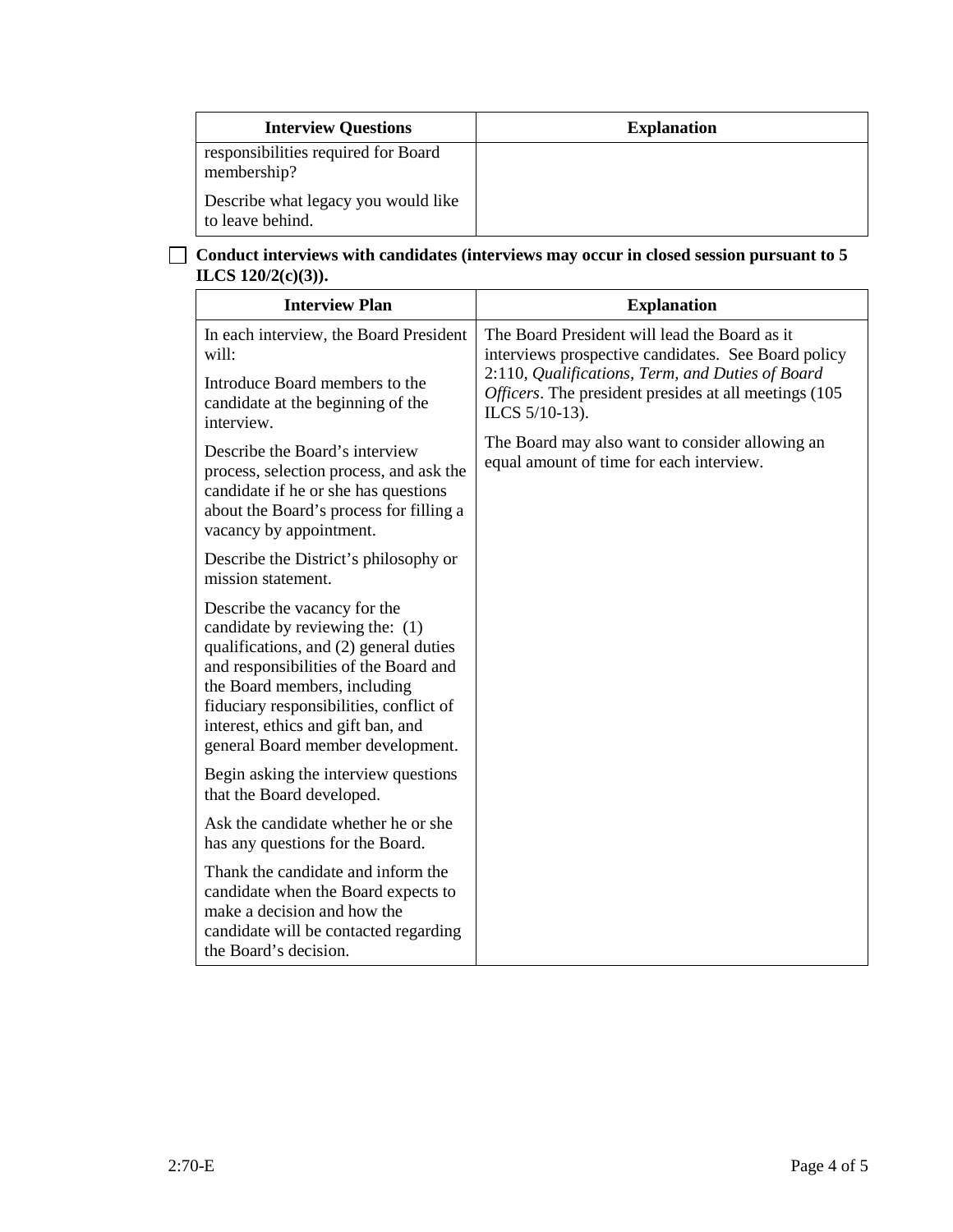| <b>Interview Questions</b>                              | <b>Explanation</b> |
|---------------------------------------------------------|--------------------|
| responsibilities required for Board<br>membership?      |                    |
| Describe what legacy you would like<br>to leave behind. |                    |

## **Conduct interviews with candidates (interviews may occur in closed session pursuant to 5 ILCS 120/2(c)(3)).**

| <b>Interview Plan</b>                                                                                                                                                                                                                                                                                    | <b>Explanation</b>                                                                                                                                                                                                                     |
|----------------------------------------------------------------------------------------------------------------------------------------------------------------------------------------------------------------------------------------------------------------------------------------------------------|----------------------------------------------------------------------------------------------------------------------------------------------------------------------------------------------------------------------------------------|
| In each interview, the Board President<br>will:<br>Introduce Board members to the<br>candidate at the beginning of the<br>interview.                                                                                                                                                                     | The Board President will lead the Board as it<br>interviews prospective candidates. See Board policy<br>2:110, Qualifications, Term, and Duties of Board<br>Officers. The president presides at all meetings (105<br>ILCS $5/10-13$ ). |
| Describe the Board's interview<br>process, selection process, and ask the<br>candidate if he or she has questions<br>about the Board's process for filling a<br>vacancy by appointment.                                                                                                                  | The Board may also want to consider allowing an<br>equal amount of time for each interview.                                                                                                                                            |
| Describe the District's philosophy or<br>mission statement.                                                                                                                                                                                                                                              |                                                                                                                                                                                                                                        |
| Describe the vacancy for the<br>candidate by reviewing the: (1)<br>qualifications, and (2) general duties<br>and responsibilities of the Board and<br>the Board members, including<br>fiduciary responsibilities, conflict of<br>interest, ethics and gift ban, and<br>general Board member development. |                                                                                                                                                                                                                                        |
| Begin asking the interview questions<br>that the Board developed.                                                                                                                                                                                                                                        |                                                                                                                                                                                                                                        |
| Ask the candidate whether he or she<br>has any questions for the Board.                                                                                                                                                                                                                                  |                                                                                                                                                                                                                                        |
| Thank the candidate and inform the<br>candidate when the Board expects to<br>make a decision and how the<br>candidate will be contacted regarding<br>the Board's decision.                                                                                                                               |                                                                                                                                                                                                                                        |